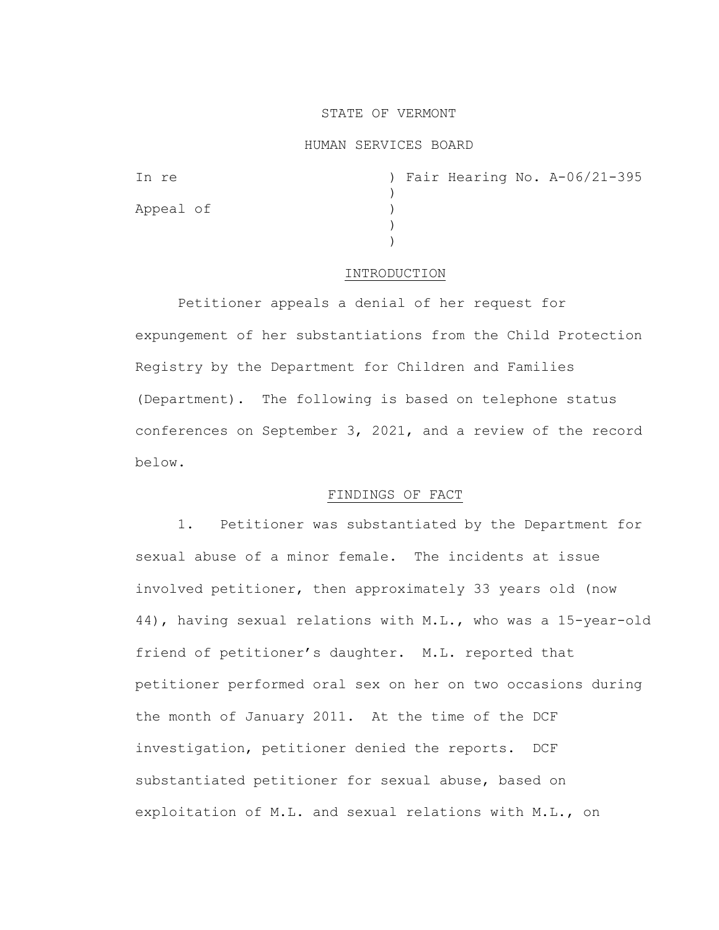## STATE OF VERMONT

## HUMAN SERVICES BOARD

| In re     |  |  | ) Fair Hearing No. A-06/21-395 |
|-----------|--|--|--------------------------------|
|           |  |  |                                |
| Appeal of |  |  |                                |
|           |  |  |                                |
|           |  |  |                                |

## INTRODUCTION

Petitioner appeals a denial of her request for expungement of her substantiations from the Child Protection Registry by the Department for Children and Families (Department). The following is based on telephone status conferences on September 3, 2021, and a review of the record below.

# FINDINGS OF FACT

1. Petitioner was substantiated by the Department for sexual abuse of a minor female. The incidents at issue involved petitioner, then approximately 33 years old (now 44), having sexual relations with M.L., who was a 15-year-old friend of petitioner's daughter. M.L. reported that petitioner performed oral sex on her on two occasions during the month of January 2011. At the time of the DCF investigation, petitioner denied the reports. DCF substantiated petitioner for sexual abuse, based on exploitation of M.L. and sexual relations with M.L., on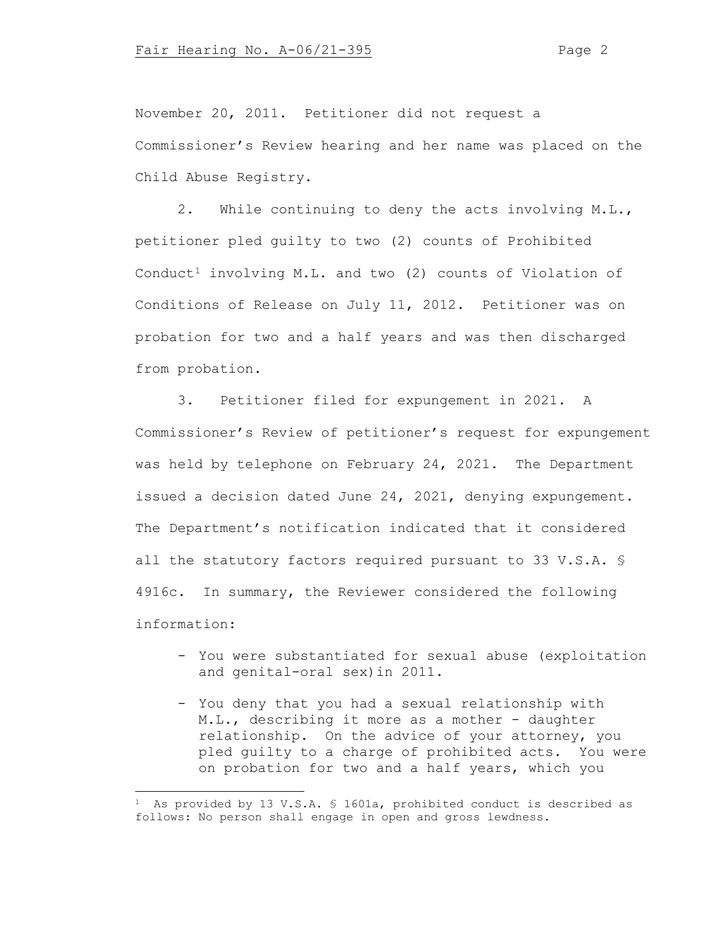November 20, 2011. Petitioner did not request a Commissioner's Review hearing and her name was placed on the Child Abuse Registry.

2. While continuing to deny the acts involving M.L., petitioner pled guilty to two (2) counts of Prohibited Conduct<sup>[1](#page-1-0)</sup> involving M.L. and two (2) counts of Violation of Conditions of Release on July 11, 2012. Petitioner was on probation for two and a half years and was then discharged from probation.

3. Petitioner filed for expungement in 2021. A Commissioner's Review of petitioner's request for expungement was held by telephone on February 24, 2021. The Department issued a decision dated June 24, 2021, denying expungement. The Department's notification indicated that it considered all the statutory factors required pursuant to 33 V.S.A. § 4916c. In summary, the Reviewer considered the following information:

- You were substantiated for sexual abuse (exploitation and genital-oral sex)in 2011.
- You deny that you had a sexual relationship with M.L., describing it more as a mother - daughter relationship. On the advice of your attorney, you pled guilty to a charge of prohibited acts. You were on probation for two and a half years, which you

<span id="page-1-0"></span><sup>&</sup>lt;sup>1</sup> As provided by 13 V.S.A. § 1601a, prohibited conduct is described as follows: No person shall engage in open and gross lewdness.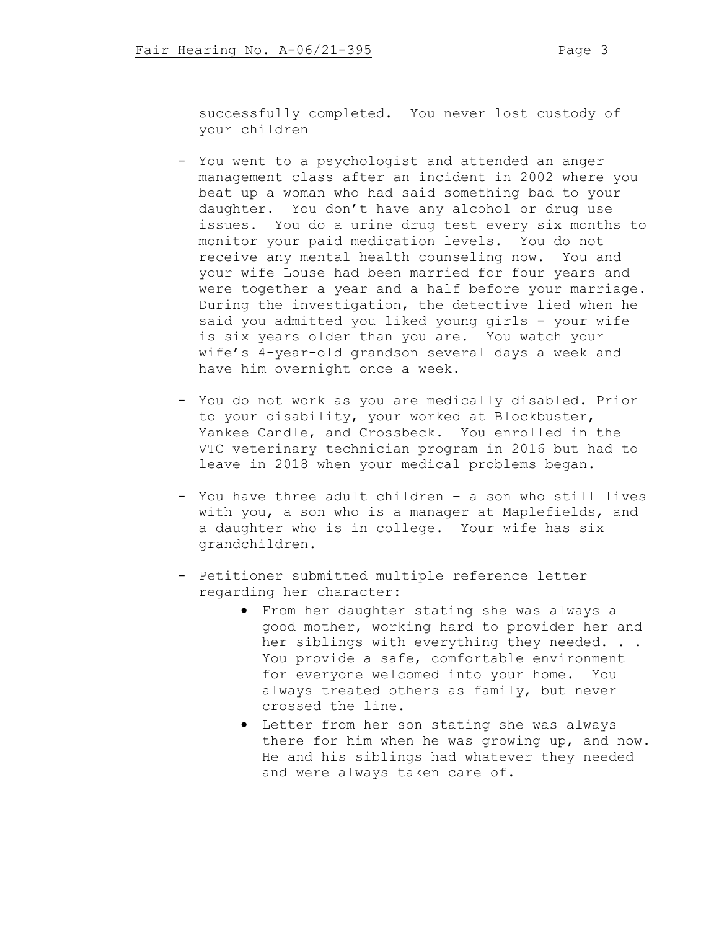successfully completed. You never lost custody of your children

- You went to a psychologist and attended an anger management class after an incident in 2002 where you beat up a woman who had said something bad to your daughter. You don't have any alcohol or drug use issues. You do a urine drug test every six months to monitor your paid medication levels. You do not receive any mental health counseling now. You and your wife Louse had been married for four years and were together a year and a half before your marriage. During the investigation, the detective lied when he said you admitted you liked young girls - your wife is six years older than you are. You watch your wife's 4-year-old grandson several days a week and have him overnight once a week.
- You do not work as you are medically disabled. Prior to your disability, your worked at Blockbuster, Yankee Candle, and Crossbeck. You enrolled in the VTC veterinary technician program in 2016 but had to leave in 2018 when your medical problems began.
- You have three adult children a son who still lives with you, a son who is a manager at Maplefields, and a daughter who is in college. Your wife has six grandchildren.
- Petitioner submitted multiple reference letter regarding her character:
	- From her daughter stating she was always a good mother, working hard to provider her and her siblings with everything they needed. . . You provide a safe, comfortable environment for everyone welcomed into your home. You always treated others as family, but never crossed the line.
	- Letter from her son stating she was always there for him when he was growing up, and now. He and his siblings had whatever they needed and were always taken care of.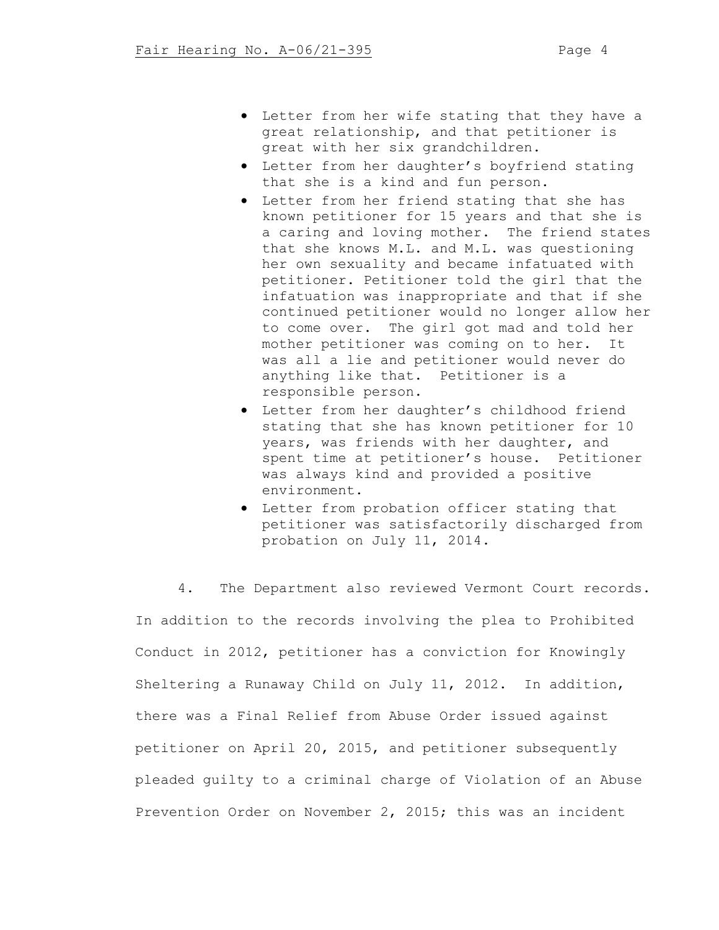- Letter from her wife stating that they have a great relationship, and that petitioner is great with her six grandchildren.
- Letter from her daughter's boyfriend stating that she is a kind and fun person.
- Letter from her friend stating that she has known petitioner for 15 years and that she is a caring and loving mother. The friend states that she knows M.L. and M.L. was questioning her own sexuality and became infatuated with petitioner. Petitioner told the girl that the infatuation was inappropriate and that if she continued petitioner would no longer allow her to come over. The girl got mad and told her mother petitioner was coming on to her. It was all a lie and petitioner would never do anything like that. Petitioner is a responsible person.
- Letter from her daughter's childhood friend stating that she has known petitioner for 10 years, was friends with her daughter, and spent time at petitioner's house. Petitioner was always kind and provided a positive environment.
- Letter from probation officer stating that petitioner was satisfactorily discharged from probation on July 11, 2014.

4. The Department also reviewed Vermont Court records. In addition to the records involving the plea to Prohibited Conduct in 2012, petitioner has a conviction for Knowingly Sheltering a Runaway Child on July 11, 2012. In addition, there was a Final Relief from Abuse Order issued against petitioner on April 20, 2015, and petitioner subsequently pleaded guilty to a criminal charge of Violation of an Abuse Prevention Order on November 2, 2015; this was an incident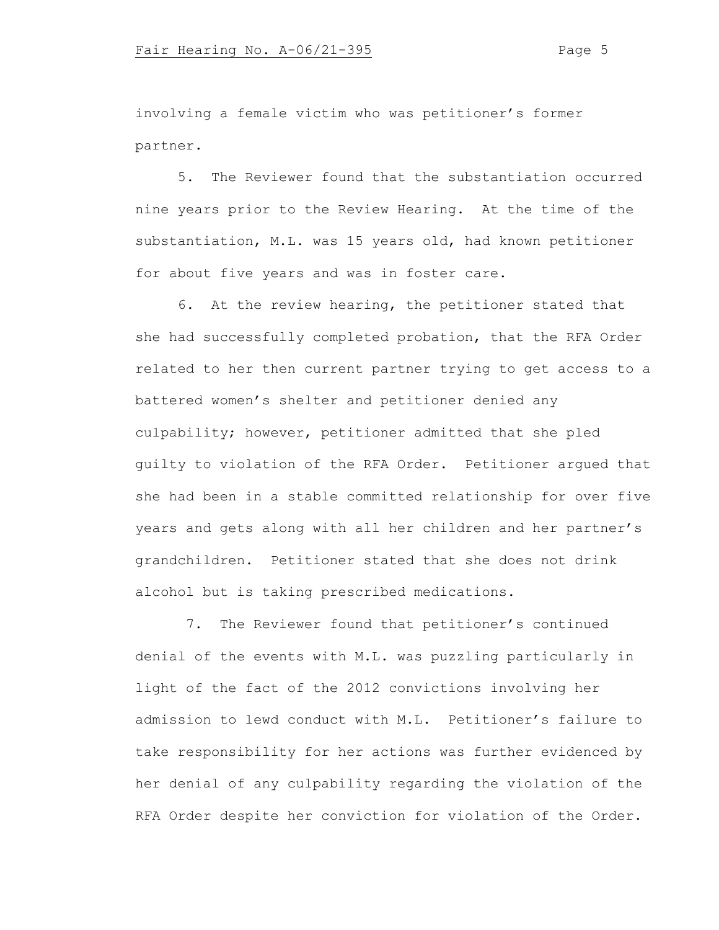involving a female victim who was petitioner's former partner.

5. The Reviewer found that the substantiation occurred nine years prior to the Review Hearing. At the time of the substantiation, M.L. was 15 years old, had known petitioner for about five years and was in foster care.

6. At the review hearing, the petitioner stated that she had successfully completed probation, that the RFA Order related to her then current partner trying to get access to a battered women's shelter and petitioner denied any culpability; however, petitioner admitted that she pled guilty to violation of the RFA Order. Petitioner argued that she had been in a stable committed relationship for over five years and gets along with all her children and her partner's grandchildren. Petitioner stated that she does not drink alcohol but is taking prescribed medications.

7. The Reviewer found that petitioner's continued denial of the events with M.L. was puzzling particularly in light of the fact of the 2012 convictions involving her admission to lewd conduct with M.L. Petitioner's failure to take responsibility for her actions was further evidenced by her denial of any culpability regarding the violation of the RFA Order despite her conviction for violation of the Order.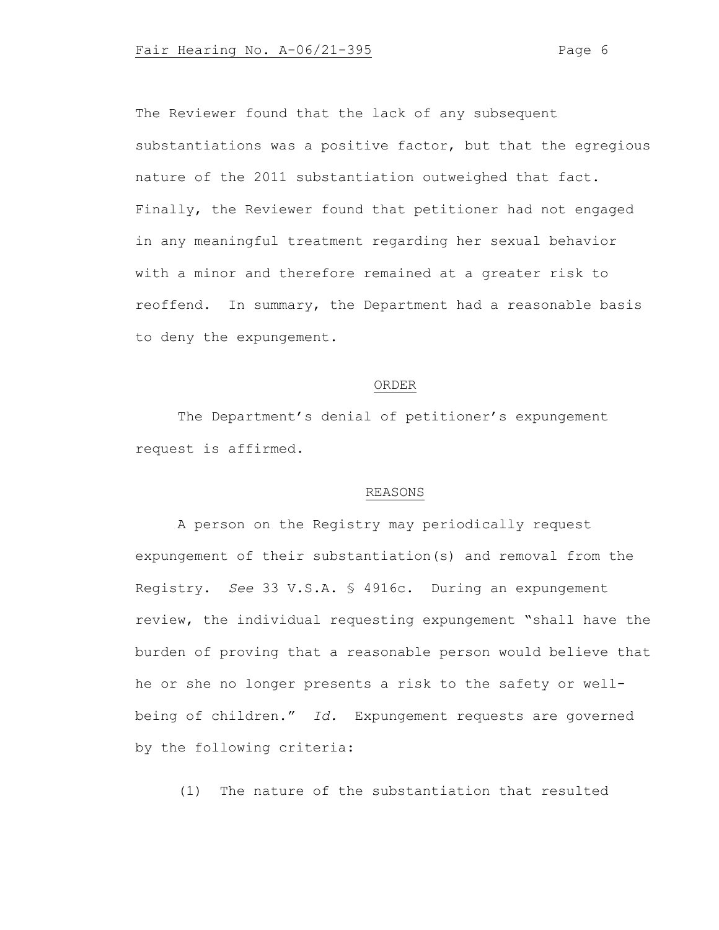The Reviewer found that the lack of any subsequent substantiations was a positive factor, but that the egregious nature of the 2011 substantiation outweighed that fact. Finally, the Reviewer found that petitioner had not engaged in any meaningful treatment regarding her sexual behavior with a minor and therefore remained at a greater risk to reoffend. In summary, the Department had a reasonable basis to deny the expungement.

#### ORDER

The Department's denial of petitioner's expungement request is affirmed.

## REASONS

A person on the Registry may periodically request expungement of their substantiation(s) and removal from the Registry. *See* 33 V.S.A. § 4916c. During an expungement review, the individual requesting expungement "shall have the burden of proving that a reasonable person would believe that he or she no longer presents a risk to the safety or wellbeing of children." *Id.* Expungement requests are governed by the following criteria:

(1) The nature of the substantiation that resulted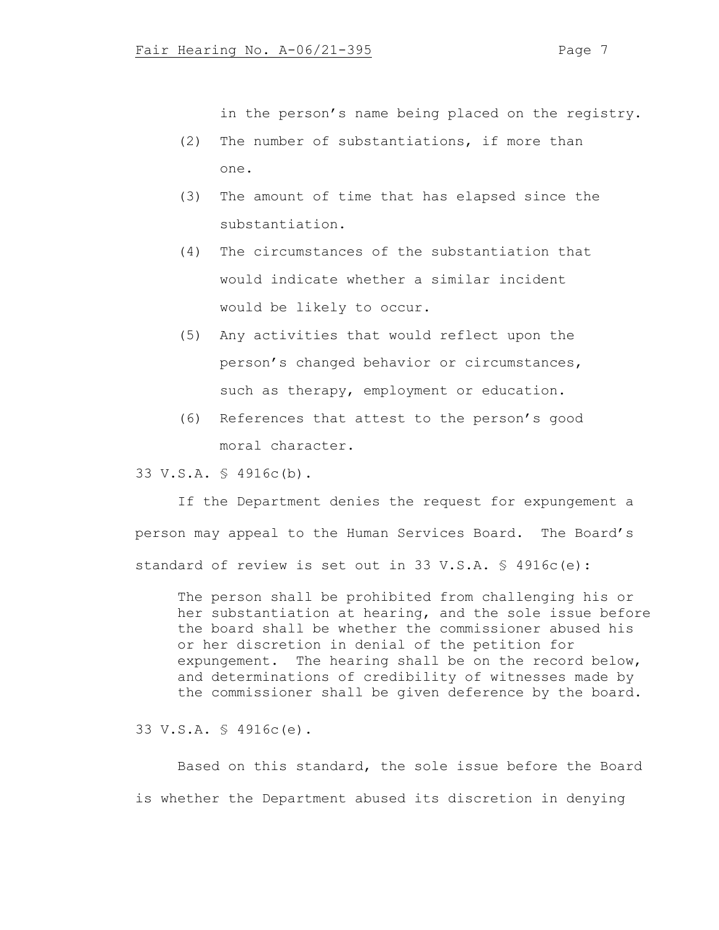in the person's name being placed on the registry.

- (2) The number of substantiations, if more than one.
- (3) The amount of time that has elapsed since the substantiation.
- (4) The circumstances of the substantiation that would indicate whether a similar incident would be likely to occur.
- (5) Any activities that would reflect upon the person's changed behavior or circumstances, such as therapy, employment or education.
- (6) References that attest to the person's good moral character.

33 V.S.A. § 4916c(b).

If the Department denies the request for expungement a person may appeal to the Human Services Board. The Board's standard of review is set out in 33 V.S.A. § 4916c(e):

The person shall be prohibited from challenging his or her substantiation at hearing, and the sole issue before the board shall be whether the commissioner abused his or her discretion in denial of the petition for expungement. The hearing shall be on the record below, and determinations of credibility of witnesses made by the commissioner shall be given deference by the board.

33 V.S.A. § 4916c(e).

Based on this standard, the sole issue before the Board is whether the Department abused its discretion in denying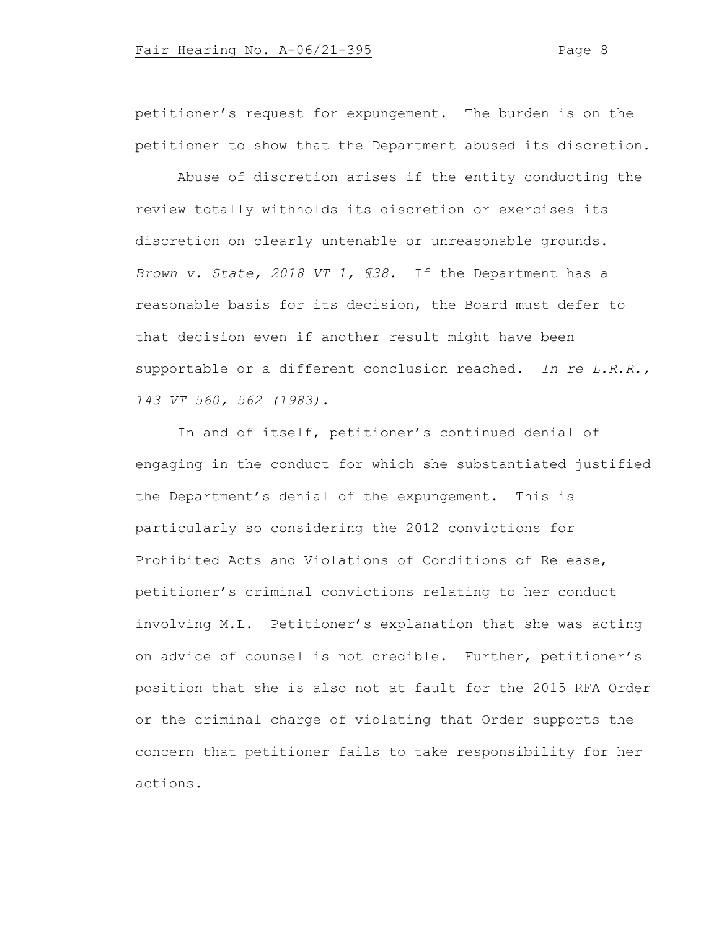petitioner's request for expungement. The burden is on the petitioner to show that the Department abused its discretion.

Abuse of discretion arises if the entity conducting the review totally withholds its discretion or exercises its discretion on clearly untenable or unreasonable grounds. *Brown v. State, 2018 VT 1, ¶38.* If the Department has a reasonable basis for its decision, the Board must defer to that decision even if another result might have been supportable or a different conclusion reached. *In re L.R.R., 143 VT 560, 562 (1983).* 

In and of itself, petitioner's continued denial of engaging in the conduct for which she substantiated justified the Department's denial of the expungement. This is particularly so considering the 2012 convictions for Prohibited Acts and Violations of Conditions of Release, petitioner's criminal convictions relating to her conduct involving M.L. Petitioner's explanation that she was acting on advice of counsel is not credible. Further, petitioner's position that she is also not at fault for the 2015 RFA Order or the criminal charge of violating that Order supports the concern that petitioner fails to take responsibility for her actions.